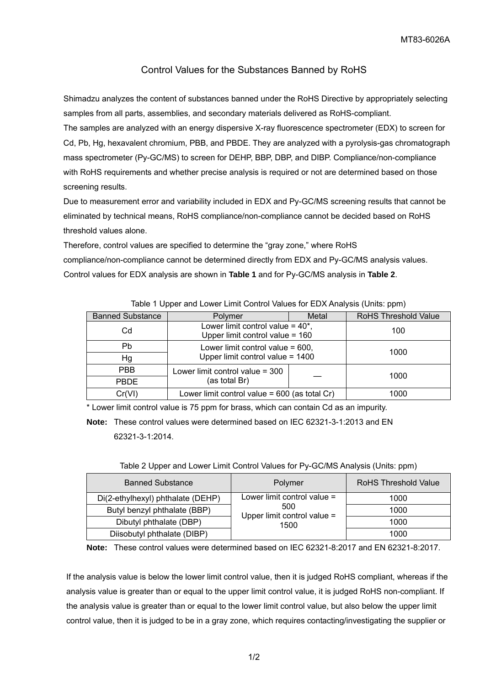## Control Values for the Substances Banned by RoHS

Shimadzu analyzes the content of substances banned under the RoHS Directive by appropriately selecting samples from all parts, assemblies, and secondary materials delivered as RoHS-compliant.

The samples are analyzed with an energy dispersive X-ray fluorescence spectrometer (EDX) to screen for Cd, Pb, Hg, hexavalent chromium, PBB, and PBDE. They are analyzed with a pyrolysis-gas chromatograph mass spectrometer (Py-GC/MS) to screen for DEHP, BBP, DBP, and DIBP. Compliance/non-compliance with RoHS requirements and whether precise analysis is required or not are determined based on those screening results.

Due to measurement error and variability included in EDX and Py-GC/MS screening results that cannot be eliminated by technical means, RoHS compliance/non-compliance cannot be decided based on RoHS threshold values alone.

Therefore, control values are specified to determine the "gray zone," where RoHS compliance/non-compliance cannot be determined directly from EDX and Py-GC/MS analysis values. Control values for EDX analysis are shown in **Table 1** and for Py-GC/MS analysis in **Table 2**.

| <b>Banned Substance</b> | <b>Polymer</b>                                                            | Metal | <b>RoHS Threshold Value</b> |
|-------------------------|---------------------------------------------------------------------------|-------|-----------------------------|
| Cd                      | Lower limit control value = $40^*$ ,<br>Upper limit control value = $160$ |       | 100                         |
| Pb                      | Lower limit control value = $600$ ,                                       |       | 1000                        |
| Hg                      | Upper limit control value = 1400                                          |       |                             |
| <b>PBB</b>              | Lower limit control value $=$ 300                                         |       | 1000                        |
| <b>PBDE</b>             | (as total Br)                                                             |       |                             |
| Cr(VI)                  | Lower limit control value = $600$ (as total Cr)                           |       | 1000                        |

Table 1 Upper and Lower Limit Control Values for EDX Analysis (Units: ppm)

\* Lower limit control value is 75 ppm for brass, which can contain Cd as an impurity.

**Note:** These control values were determined based on IEC 62321-3-1:2013 and EN 62321-3-1:2014.

| <b>Banned Substance</b>           | Polymer                                    | <b>RoHS Threshold Value</b> |
|-----------------------------------|--------------------------------------------|-----------------------------|
| Di(2-ethylhexyl) phthalate (DEHP) | Lower limit control value $=$              | 1000                        |
| Butyl benzyl phthalate (BBP)      | 500<br>Upper limit control value =<br>1500 | 1000                        |
| Dibutyl phthalate (DBP)           |                                            | 1000                        |
| Diisobutyl phthalate (DIBP)       |                                            | 1000                        |

Table 2 Upper and Lower Limit Control Values for Py-GC/MS Analysis (Units: ppm)

**Note:** These control values were determined based on IEC 62321-8:2017 and EN 62321-8:2017.

If the analysis value is below the lower limit control value, then it is judged RoHS compliant, whereas if the analysis value is greater than or equal to the upper limit control value, it is judged RoHS non-compliant. If the analysis value is greater than or equal to the lower limit control value, but also below the upper limit control value, then it is judged to be in a gray zone, which requires contacting/investigating the supplier or